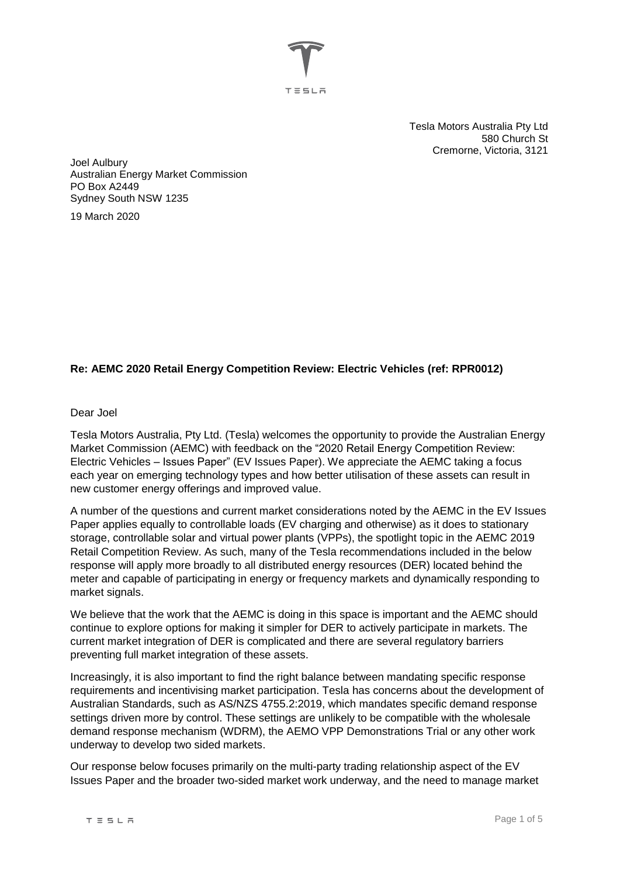

Tesla Motors Australia Pty Ltd 580 Church St Cremorne, Victoria, 3121

Joel Aulbury Australian Energy Market Commission PO Box A2449 Sydney South NSW 1235

19 March 2020

## **Re: AEMC 2020 Retail Energy Competition Review: Electric Vehicles (ref: RPR0012)**

#### Dear Joel

Tesla Motors Australia, Pty Ltd. (Tesla) welcomes the opportunity to provide the Australian Energy Market Commission (AEMC) with feedback on the "2020 Retail Energy Competition Review: Electric Vehicles – Issues Paper" (EV Issues Paper). We appreciate the AEMC taking a focus each year on emerging technology types and how better utilisation of these assets can result in new customer energy offerings and improved value.

A number of the questions and current market considerations noted by the AEMC in the EV Issues Paper applies equally to controllable loads (EV charging and otherwise) as it does to stationary storage, controllable solar and virtual power plants (VPPs), the spotlight topic in the AEMC 2019 Retail Competition Review. As such, many of the Tesla recommendations included in the below response will apply more broadly to all distributed energy resources (DER) located behind the meter and capable of participating in energy or frequency markets and dynamically responding to market signals.

We believe that the work that the AEMC is doing in this space is important and the AEMC should continue to explore options for making it simpler for DER to actively participate in markets. The current market integration of DER is complicated and there are several regulatory barriers preventing full market integration of these assets.

Increasingly, it is also important to find the right balance between mandating specific response requirements and incentivising market participation. Tesla has concerns about the development of Australian Standards, such as AS/NZS 4755.2:2019, which mandates specific demand response settings driven more by control. These settings are unlikely to be compatible with the wholesale demand response mechanism (WDRM), the AEMO VPP Demonstrations Trial or any other work underway to develop two sided markets.

Our response below focuses primarily on the multi-party trading relationship aspect of the EV Issues Paper and the broader two-sided market work underway, and the need to manage market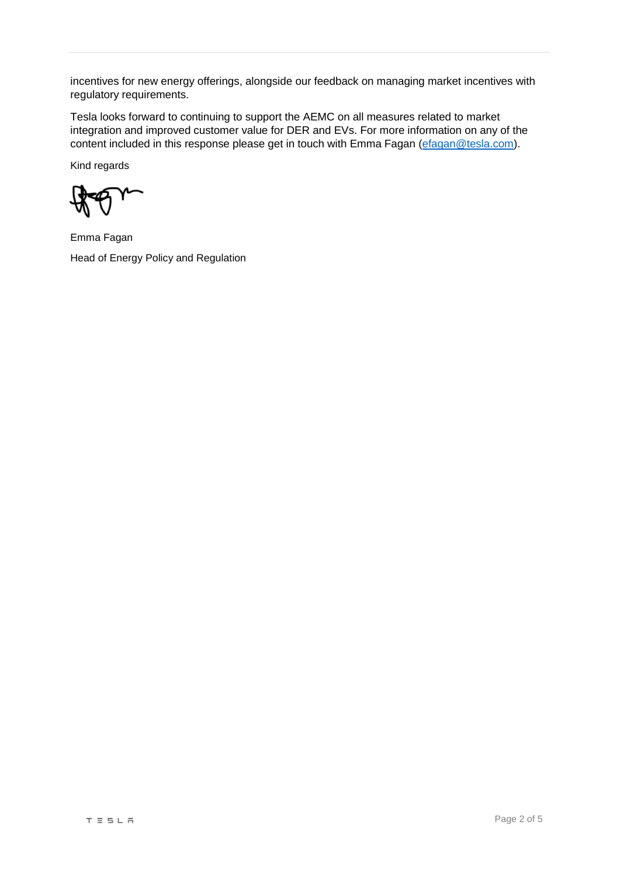incentives for new energy offerings, alongside our feedback on managing market incentives with regulatory requirements.

Tesla looks forward to continuing to support the AEMC on all measures related to market integration and improved customer value for DER and EVs. For more information on any of the content included in this response please get in touch with Emma Fagan [\(efagan@tesla.com\)](mailto:efagan@tesla.com).

Kind regards

Emma Fagan Head of Energy Policy and Regulation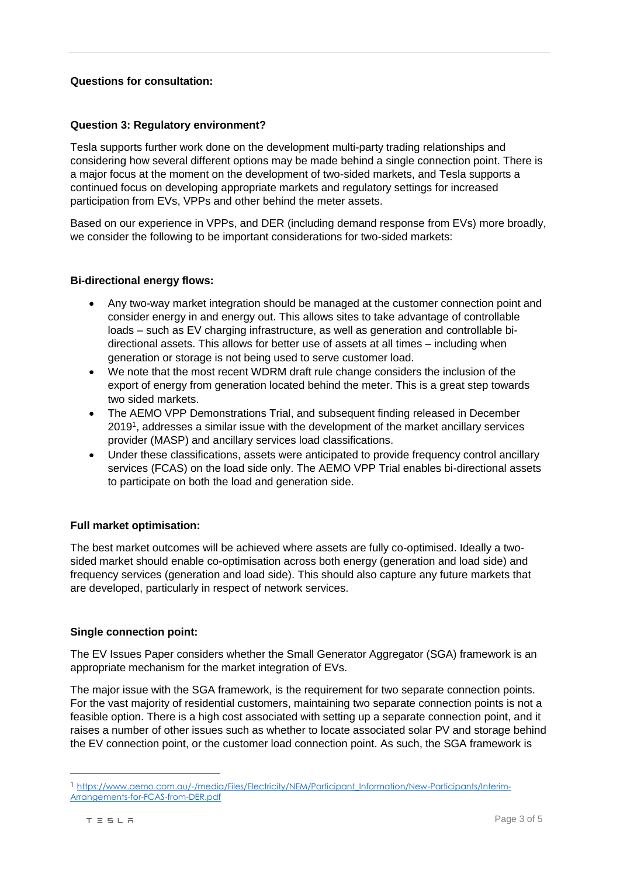## **Questions for consultation:**

### **Question 3: Regulatory environment?**

Tesla supports further work done on the development multi-party trading relationships and considering how several different options may be made behind a single connection point. There is a major focus at the moment on the development of two-sided markets, and Tesla supports a continued focus on developing appropriate markets and regulatory settings for increased participation from EVs, VPPs and other behind the meter assets.

Based on our experience in VPPs, and DER (including demand response from EVs) more broadly, we consider the following to be important considerations for two-sided markets:

## **Bi-directional energy flows:**

- Any two-way market integration should be managed at the customer connection point and consider energy in and energy out. This allows sites to take advantage of controllable loads – such as EV charging infrastructure, as well as generation and controllable bidirectional assets. This allows for better use of assets at all times – including when generation or storage is not being used to serve customer load.
- We note that the most recent WDRM draft rule change considers the inclusion of the export of energy from generation located behind the meter. This is a great step towards two sided markets.
- The AEMO VPP Demonstrations Trial, and subsequent finding released in December 2019<sup>1</sup> , addresses a similar issue with the development of the market ancillary services provider (MASP) and ancillary services load classifications.
- Under these classifications, assets were anticipated to provide frequency control ancillary services (FCAS) on the load side only. The AEMO VPP Trial enables bi-directional assets to participate on both the load and generation side.

### **Full market optimisation:**

The best market outcomes will be achieved where assets are fully co-optimised. Ideally a twosided market should enable co-optimisation across both energy (generation and load side) and frequency services (generation and load side). This should also capture any future markets that are developed, particularly in respect of network services.

### **Single connection point:**

The EV Issues Paper considers whether the Small Generator Aggregator (SGA) framework is an appropriate mechanism for the market integration of EVs.

The major issue with the SGA framework, is the requirement for two separate connection points. For the vast majority of residential customers, maintaining two separate connection points is not a feasible option. There is a high cost associated with setting up a separate connection point, and it raises a number of other issues such as whether to locate associated solar PV and storage behind the EV connection point, or the customer load connection point. As such, the SGA framework is

 $\overline{a}$ 

<sup>1</sup> [https://www.aemo.com.au/-/media/Files/Electricity/NEM/Participant\\_Information/New-Participants/Interim-](https://www.aemo.com.au/-/media/Files/Electricity/NEM/Participant_Information/New-Participants/Interim-Arrangements-for-FCAS-from-DER.pdf)[Arrangements-for-FCAS-from-DER.pdf](https://www.aemo.com.au/-/media/Files/Electricity/NEM/Participant_Information/New-Participants/Interim-Arrangements-for-FCAS-from-DER.pdf)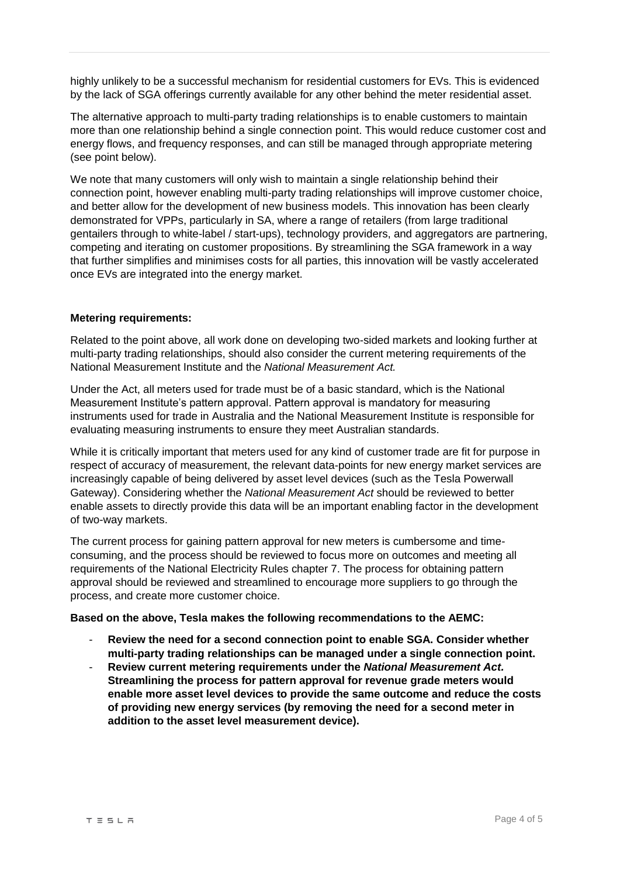highly unlikely to be a successful mechanism for residential customers for EVs. This is evidenced by the lack of SGA offerings currently available for any other behind the meter residential asset.

The alternative approach to multi-party trading relationships is to enable customers to maintain more than one relationship behind a single connection point. This would reduce customer cost and energy flows, and frequency responses, and can still be managed through appropriate metering (see point below).

We note that many customers will only wish to maintain a single relationship behind their connection point, however enabling multi-party trading relationships will improve customer choice, and better allow for the development of new business models. This innovation has been clearly demonstrated for VPPs, particularly in SA, where a range of retailers (from large traditional gentailers through to white-label / start-ups), technology providers, and aggregators are partnering, competing and iterating on customer propositions. By streamlining the SGA framework in a way that further simplifies and minimises costs for all parties, this innovation will be vastly accelerated once EVs are integrated into the energy market.

### **Metering requirements:**

Related to the point above, all work done on developing two-sided markets and looking further at multi-party trading relationships, should also consider the current metering requirements of the National Measurement Institute and the *National Measurement Act.* 

Under the Act, all meters used for trade must be of a basic standard, which is the National Measurement Institute's pattern approval. Pattern approval is mandatory for measuring instruments used for trade in Australia and the National Measurement Institute is responsible for evaluating measuring instruments to ensure they meet Australian standards.

While it is critically important that meters used for any kind of customer trade are fit for purpose in respect of accuracy of measurement, the relevant data-points for new energy market services are increasingly capable of being delivered by asset level devices (such as the Tesla Powerwall Gateway). Considering whether the *National Measurement Act* should be reviewed to better enable assets to directly provide this data will be an important enabling factor in the development of two-way markets.

The current process for gaining pattern approval for new meters is cumbersome and timeconsuming, and the process should be reviewed to focus more on outcomes and meeting all requirements of the National Electricity Rules chapter 7. The process for obtaining pattern approval should be reviewed and streamlined to encourage more suppliers to go through the process, and create more customer choice.

### **Based on the above, Tesla makes the following recommendations to the AEMC:**

- **Review the need for a second connection point to enable SGA. Consider whether multi-party trading relationships can be managed under a single connection point.**
- **Review current metering requirements under the** *National Measurement Act.*  **Streamlining the process for pattern approval for revenue grade meters would enable more asset level devices to provide the same outcome and reduce the costs of providing new energy services (by removing the need for a second meter in addition to the asset level measurement device).**